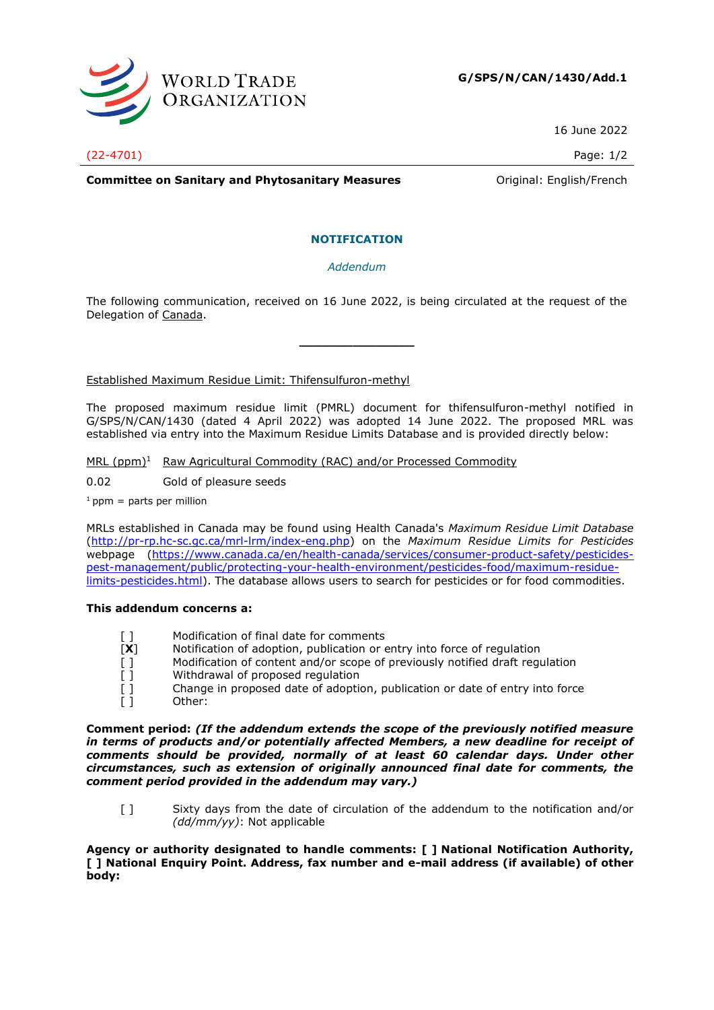

16 June 2022

(22-4701) Page: 1/2

**Committee on Sanitary and Phytosanitary Measures Committee on Sanitary and Phytosanitary Measures Committee Original:** English/French

## **NOTIFICATION**

*Addendum*

The following communication, received on 16 June 2022, is being circulated at the request of the Delegation of Canada.

**\_\_\_\_\_\_\_\_\_\_\_\_\_\_\_**

Established Maximum Residue Limit: Thifensulfuron-methyl

The proposed maximum residue limit (PMRL) document for thifensulfuron-methyl notified in G/SPS/N/CAN/1430 (dated 4 April 2022) was adopted 14 June 2022. The proposed MRL was established via entry into the Maximum Residue Limits Database and is provided directly below:

MRL (ppm)<sup>1</sup> Raw Agricultural Commodity (RAC) and/or Processed Commodity

0.02 Gold of pleasure seeds

 $1$  ppm = parts per million

MRLs established in Canada may be found using Health Canada's *Maximum Residue Limit Database* [\(http://pr-rp.hc-sc.gc.ca/mrl-lrm/index-eng.php\)](http://pr-rp.hc-sc.gc.ca/mrl-lrm/index-eng.php) on the *Maximum Residue Limits for Pesticides*  webpage [\(https://www.canada.ca/en/health-canada/services/consumer-product-safety/pesticides](https://www.canada.ca/en/health-canada/services/consumer-product-safety/pesticides-pest-management/public/protecting-your-health-environment/pesticides-food/maximum-residue-limits-pesticides.html)[pest-management/public/protecting-your-health-environment/pesticides-food/maximum-residue](https://www.canada.ca/en/health-canada/services/consumer-product-safety/pesticides-pest-management/public/protecting-your-health-environment/pesticides-food/maximum-residue-limits-pesticides.html)[limits-pesticides.html\)](https://www.canada.ca/en/health-canada/services/consumer-product-safety/pesticides-pest-management/public/protecting-your-health-environment/pesticides-food/maximum-residue-limits-pesticides.html). The database allows users to search for pesticides or for food commodities.

## **This addendum concerns a:**

- [] Modification of final date for comments
- [**X**] Notification of adoption, publication or entry into force of regulation
- [ ] Modification of content and/or scope of previously notified draft regulation
- [ ] Withdrawal of proposed regulation
- [ ] Change in proposed date of adoption, publication or date of entry into force [ ]
- Other:

**Comment period:** *(If the addendum extends the scope of the previously notified measure in terms of products and/or potentially affected Members, a new deadline for receipt of comments should be provided, normally of at least 60 calendar days. Under other circumstances, such as extension of originally announced final date for comments, the comment period provided in the addendum may vary.)*

[ ] Sixty days from the date of circulation of the addendum to the notification and/or *(dd/mm/yy)*: Not applicable

**Agency or authority designated to handle comments: [ ] National Notification Authority, [ ] National Enquiry Point. Address, fax number and e-mail address (if available) of other body:**